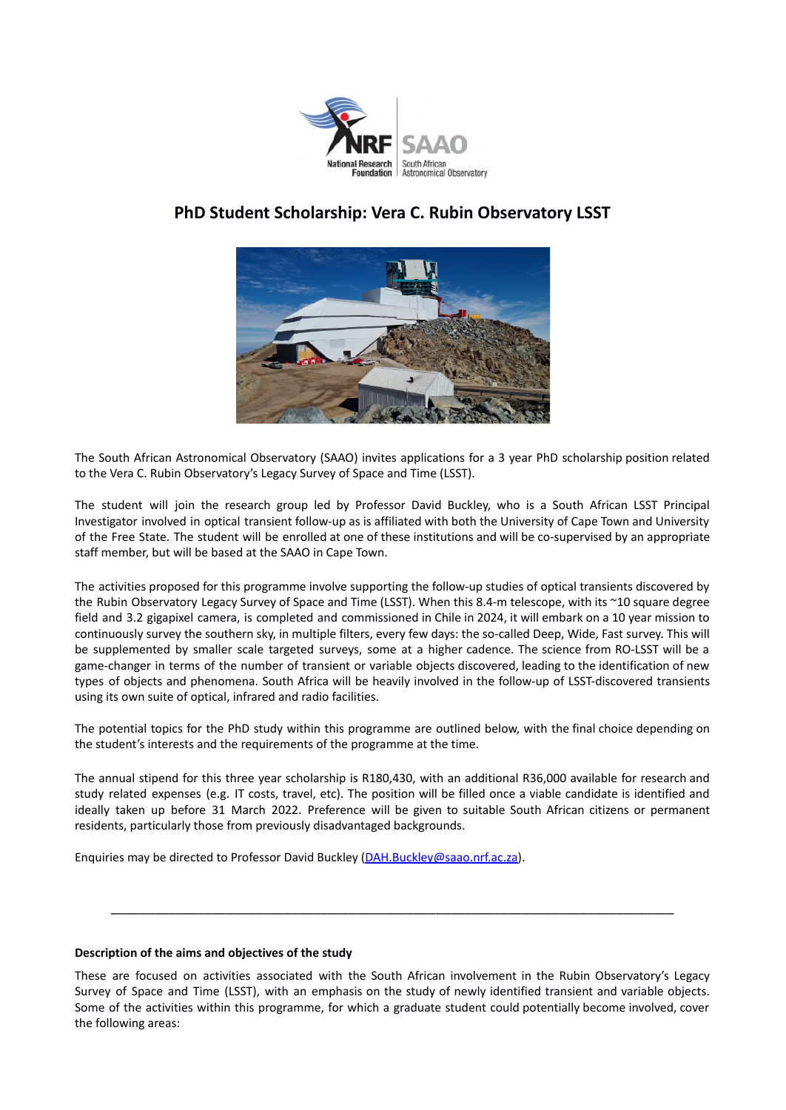

## **PhD Student Scholarship: Vera C. Rubin Observatory LSST**



The South African Astronomical Observatory (SAAO) invites applications for a 3 year PhD scholarship position related to the Vera C. Rubin Observatory's Legacy Survey of Space and Time (LSST).

The student will join the research group led by Professor David Buckley, who is a South African LSST Principal Investigator involved in optical transient follow-up as is affiliated with both the University of Cape Town and University of the Free State. The student will be enrolled at one of these institutions and will be co-supervised by an appropriate staff member, but will be based at the SAAO in Cape Town.

The activities proposed for this programme involve supporting the follow-up studies of optical transients discovered by the Rubin Observatory Legacy Survey of Space and Time (LSST). When this 8.4-m telescope, with its ~10 square degree field and 3.2 gigapixel camera, is completed and commissioned in Chile in 2024, it will embark on a 10 year mission to continuously survey the southern sky, in multiple filters, every few days: the so-called Deep, Wide, Fast survey. This will be supplemented by smaller scale targeted surveys, some at a higher cadence. The science from RO-LSST will be a game-changer in terms of the number of transient or variable objects discovered, leading to the identification of new types of objects and phenomena. South Africa will be heavily involved in the follow-up of LSST-discovered transients using its own suite of optical, infrared and radio facilities.

The potential topics for the PhD study within this programme are outlined below, with the final choice depending on the student's interests and the requirements of the programme at the time.

The annual stipend for this three year scholarship is R180,430, with an additional R36,000 available for research and study related expenses (e.g. IT costs, travel, etc). The position will be filled once a viable candidate is identified and ideally taken up before 31 March 2022. Preference will be given to suitable South African citizens or permanent residents, particularly those from previously disadvantaged backgrounds.

Enquiries may be directed to Professor David Buckley ([DAH.Buckley@saao.nrf.ac.za\)](mailto:DAH.Buckley@saao.nrf.ac.za).

## **Description of the aims and objectives of the study**

These are focused on activities associated with the South African involvement in the Rubin Observatory's Legacy Survey of Space and Time (LSST), with an emphasis on the study of newly identified transient and variable objects. Some of the activities within this programme, for which a graduate student could potentially become involved, cover the following areas:

\_\_\_\_\_\_\_\_\_\_\_\_\_\_\_\_\_\_\_\_\_\_\_\_\_\_\_\_\_\_\_\_\_\_\_\_\_\_\_\_\_\_\_\_\_\_\_\_\_\_\_\_\_\_\_\_\_\_\_\_\_\_\_\_\_\_\_\_\_\_\_\_\_\_\_\_\_\_